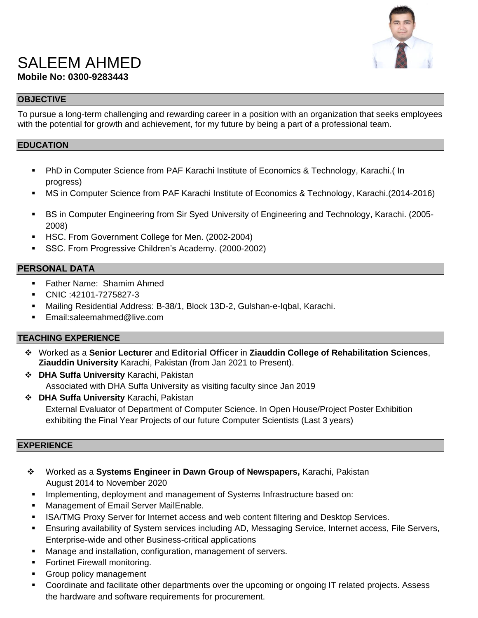

# SALEEM AHMED **Mobile No: 0300-9283443**

## **OBJECTIVE**

To pursue a long-term challenging and rewarding career in a position with an organization that seeks employees with the potential for growth and achievement, for my future by being a part of a professional team.

#### **EDUCATION**

- PhD in Computer Science from [PAF Karachi Institute of Economics & Technology,](http://www.pafkiet.edu.pk/) Karachi.( In progress)
- MS in Computer Science from [PAF Karachi Institute of Economics & Technology,](http://www.pafkiet.edu.pk/) Karachi.(2014-2016)
- BS in Computer Engineering from Sir Syed University of Engineering and Technology, Karachi. (2005- 2008)
- **HSC. From Government College for Men. (2002-2004)**
- SSC. From Progressive Children's Academy. (2000-2002)

## **PERSONAL DATA**

- **Father Name: Shamim Ahmed**
- CNIC :42101-7275827-3
- Mailing Residential Address: B-38/1, Block 13D-2, Gulshan-e-Iqbal, Karachi.
- Email[:saleemahmed@live.com](mailto:saleemahmed@live.com)

#### **TEACHING EXPERIENCE**

- Worked as a **Senior Lecturer** and **Editorial Officer** in **Ziauddin College of Rehabilitation Sciences**, **Ziauddin University** Karachi, Pakistan (from Jan 2021 to Present).
- **DHA Suffa University** Karachi, Pakistan Associated with DHA Suffa University as visiting faculty since Jan 2019
- **DHA Suffa University** Karachi, Pakistan External Evaluator of Department of Computer Science. In Open House/Project Poster Exhibition exhibiting the Final Year Projects of our future Computer Scientists (Last 3 years)

#### **EXPERIENCE**

- Worked as a **Systems Engineer in Dawn Group of Newspapers,** Karachi, Pakistan August 2014 to November 2020
- **Implementing, deployment and management of Systems Infrastructure based on:**
- **Management of Email Server MailEnable.**
- **ISA/TMG Proxy Server for Internet access and web content filtering and Desktop Services.**
- Ensuring availability of System services including AD, Messaging Service, Internet access, File Servers, Enterprise-wide and other Business-critical applications
- Manage and installation, configuration, management of servers.
- Fortinet Firewall monitoring.
- **Group policy management**
- Coordinate and facilitate other departments over the upcoming or ongoing IT related projects. Assess the hardware and software requirements for procurement.